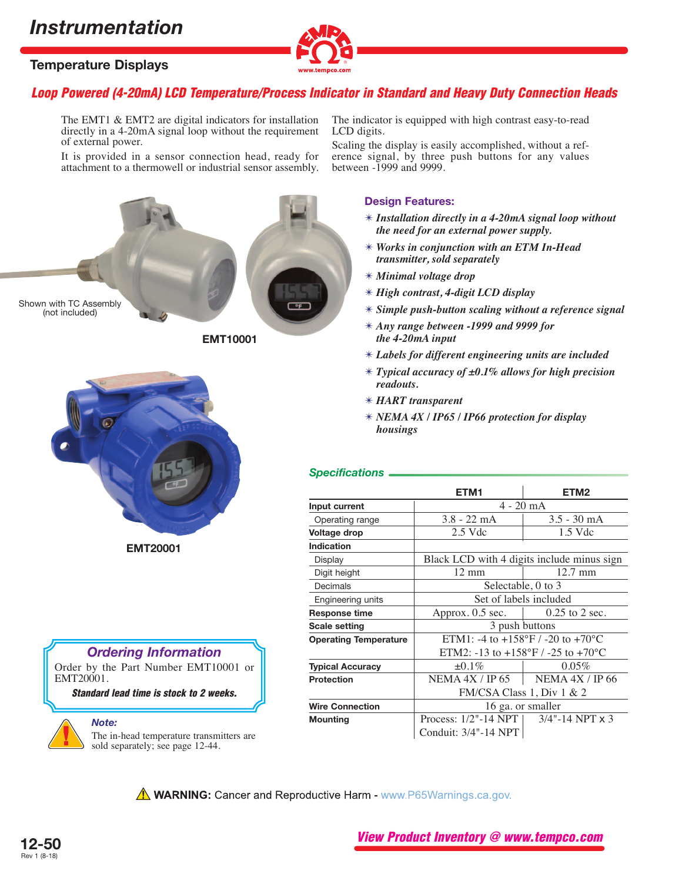## *Instrumentation*

## **Temperature Displays**



## **Loop Powered (4-20mA) LCD Temperature/Process Indicator in Standard and Heavy Duty Connection Heads**

The EMT1 & EMT2 are digital indicators for installation directly in a 4-20mA signal loop without the requirement of external power.

It is provided in a sensor connection head, ready for attachment to a thermowell or industrial sensor assembly.



**EMT10001**



**EMT20001**

# *Ordering Information*

Order by the Part Number EMT10001 or EMT20001.

**Standard lead time is stock to 2 weeks.**

#### *Note:*

The in-head temperature transmitters are sold separately; see page 12-44.

The indicator is equipped with high contrast easy-to-read LCD digits.

Scaling the display is easily accomplished, without a reference signal, by three push buttons for any values between -1999 and 9999.

#### **Design Features:**

- ✴ *Installation directly in a 4-20mA signal loop without the need for an external power supply.*
- ✴ *Works in conjunction with an ETM In-Head transmitter, sold separately*
- ✴ *Minimal voltage drop*
- ✴ *High contrast, 4-digit LCD display*
- ✴ *Simple push-button scaling without a reference signal*
- ✴ *Any range between -1999 and 9999 for the 4-20mA input*
- ✴ *Labels for different engineering units are included*
- ✴ *Typical accuracy of ±0.1% allows for high precision readouts.*
- ✴ *HART transparent*
- ✴ *NEMA 4X / IP65 / IP66 protection for display housings*

### *Specifications*

|                              | ETM <sub>1</sub>                                                         | ETM <sub>2</sub>          |
|------------------------------|--------------------------------------------------------------------------|---------------------------|
| Input current                | $4 - 20$ mA                                                              |                           |
| Operating range              | $3.8 - 22$ mA                                                            | $3.5 - 30$ mA             |
| Voltage drop                 | $2.5$ Vdc                                                                | 1.5 Vdc                   |
| Indication                   |                                                                          |                           |
| Display                      | Black LCD with 4 digits include minus sign                               |                           |
| Digit height                 | $12 \text{ mm}$                                                          | $12.7 \text{ mm}$         |
| Decimals                     | Selectable, 0 to 3                                                       |                           |
| Engineering units            | Set of labels included                                                   |                           |
| <b>Response time</b>         | Approx. 0.5 sec. $\vert$ 0.25 to 2 sec.                                  |                           |
| <b>Scale setting</b>         | 3 push buttons                                                           |                           |
| <b>Operating Temperature</b> | ETM1: -4 to +158°F / -20 to +70°C                                        |                           |
|                              | ETM2: -13 to +158 $\mathrm{^{\circ}F}$ / -25 to +70 $\mathrm{^{\circ}C}$ |                           |
| <b>Typical Accuracy</b>      | ±0.1%                                                                    | $0.05\%$                  |
| <b>Protection</b>            | NEMA 4X / IP 65                                                          | NEMA $4X / IP$ 66         |
|                              | FM/CSA Class 1, Div 1 & 2                                                |                           |
| <b>Wire Connection</b>       | 16 ga. or smaller                                                        |                           |
| <b>Mounting</b>              | Process: $1/2$ "-14 NPT                                                  | $3/4$ "-14 NPT $\times$ 3 |
|                              | Conduit: 3/4"-14 NPT                                                     |                           |

**A WARNING:** Cancer and Reproductive Harm - www.P65Warnings.ca.gov.



**View Product Inventory @ www.tempco.com**